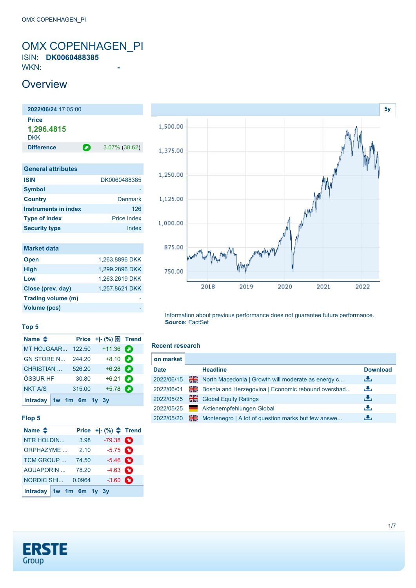### <span id="page-0-0"></span>OMX COPENHAGEN\_PI ISIN: **DK0060488385**

WKN: **-**

### **Overview**



| <b>ISIN</b>          | DK0060488385       |
|----------------------|--------------------|
| <b>Symbol</b>        |                    |
| <b>Country</b>       | Denmark            |
| Instruments in index | 126                |
| <b>Type of index</b> | <b>Price Index</b> |
| <b>Security type</b> | Index              |

| <b>Market data</b> |                |
|--------------------|----------------|
| <b>Open</b>        | 1.263.8896 DKK |
| <b>High</b>        | 1,299.2896 DKK |
| Low                | 1,263.2619 DKK |
| Close (prev. day)  | 1,257.8621 DKK |
| Trading volume (m) |                |
| Volume (pcs)       |                |

## **[5y](#page-0-0)** 1,500.00 1,375.00 1,250.00 1,125.00 ٨Ņ 1,000.00 875.00 750.00 2018 2019 2020 2021 2022

Information about previous performance does not guarantee future performance. **Source:** FactSet

#### **Recent research**

| on market   |    |                                                    |                 |
|-------------|----|----------------------------------------------------|-----------------|
| <b>Date</b> |    | <b>Headline</b>                                    | <b>Download</b> |
| 2022/06/15  | ж  | North Macedonia   Growth will moderate as energy c | رنان            |
| 2022/06/01  | 꾊  | Bosnia and Herzegovina   Economic rebound overshad | رالى            |
| 2022/05/25  | H. | <b>Global Equity Ratings</b>                       | رالى            |
| 2022/05/25  |    | Aktienempfehlungen Global                          | æ,              |
| 2022/05/20  | 꾉  | Montenegro   A lot of question marks but few answe | æ,              |

### **Top 5**

| Name $\triangleq$         |        | Price $+$ $ \binom{9}{0}$ $\boxed{\frac{1}{2}}$ Trend |  |
|---------------------------|--------|-------------------------------------------------------|--|
| MT HOJGAAR                | 122.50 | $+11.36$ $\bullet$                                    |  |
| <b>GN STORE N</b>         | 244.20 | $+8.10$ $\bullet$                                     |  |
| <b>CHRISTIAN</b>          | 526.20 | $+6.28$                                               |  |
| ÖSSUR HF                  | 30.80  | $+6.21$ $\Box$                                        |  |
| <b>NKT A/S</b>            | 315.00 | $+5.78$ $\bullet$                                     |  |
| Intraday $1w$ 1m 6m 1y 3y |        |                                                       |  |

### **Flop 5**

| Name $\triangle$          |        | Price $+[-(%)$ $\triangleq$ Trend |  |
|---------------------------|--------|-----------------------------------|--|
| <b>NTR HOLDIN</b>         | 3.98   | $-79.38$ $\bullet$                |  |
| ORPHAZYME                 | 2.10   | $-5.75$ $\bullet$                 |  |
| TCM GROUP                 | 74.50  | $-5.46$ $\bullet$                 |  |
| <b>AQUAPORIN </b>         | 78.20  | $-4.63$ $\bullet$                 |  |
| <b>NORDIC SHI</b>         | 0.0964 | $-3.60$ $\bullet$                 |  |
| Intraday $1w$ 1m 6m 1y 3y |        |                                   |  |

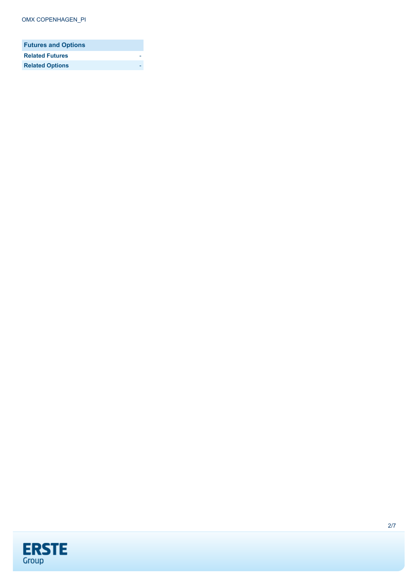| <b>Futures and Options</b> |  |
|----------------------------|--|
| <b>Related Futures</b>     |  |
| <b>Related Options</b>     |  |

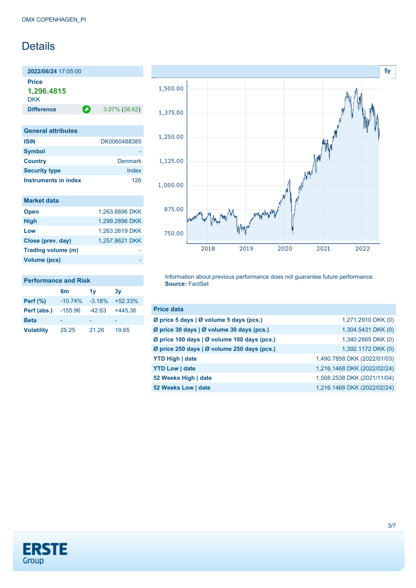### Details

**2022/06/24** 17:05:00 **Price 1,296.4815** DKK

**Difference a** 3.07% (38.62)

**Performance and Risk**

| <b>General attributes</b>   |                |
|-----------------------------|----------------|
| <b>ISIN</b>                 | DK0060488385   |
| <b>Symbol</b>               |                |
| <b>Country</b>              | <b>Denmark</b> |
| <b>Security type</b>        | Index          |
| <b>Instruments in index</b> | 126            |

| <b>Market data</b> |                |
|--------------------|----------------|
| <b>Open</b>        | 1,263.8896 DKK |
| <b>High</b>        | 1.299.2896 DKK |
| Low                | 1,263.2619 DKK |
| Close (prev. day)  | 1,257.8621 DKK |
| Trading volume (m) |                |
| Volume (pcs)       |                |

**6m 1y 3y Perf (%)** -10.74% -3.18% +52.33% **Perf (abs.)** -155.96 -42.63 +445.36 **Beta** - - - - - - - -**Volatility** 25.25 21.26 19.65



Information about previous performance does not guarantee future performance. **Source:** FactSet

| <b>Price data</b>                           |                             |
|---------------------------------------------|-----------------------------|
| Ø price 5 days   Ø volume 5 days (pcs.)     | 1,271.2910 DKK (0)          |
| Ø price 30 days   Ø volume 30 days (pcs.)   | 1,304.5431 DKK (0)          |
| Ø price 100 days   Ø volume 100 days (pcs.) | 1,340.2665 DKK (0)          |
| Ø price 250 days   Ø volume 250 days (pcs.) | 1,392.1172 DKK (0)          |
| <b>YTD High   date</b>                      | 1,490.7858 DKK (2022/01/03) |
| <b>YTD Low   date</b>                       | 1,216.1468 DKK (2022/02/24) |
| 52 Weeks High   date                        | 1,508.2538 DKK (2021/11/04) |
| 52 Weeks Low   date                         | 1,216.1468 DKK (2022/02/24) |

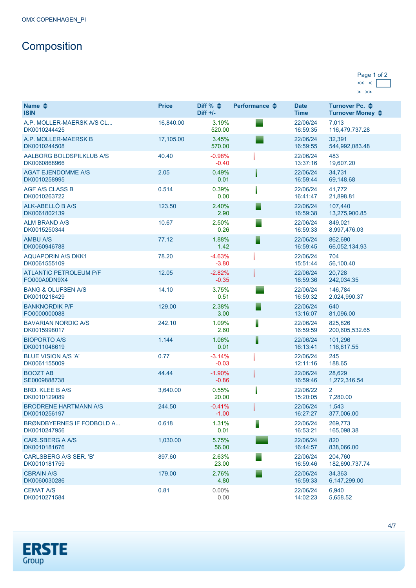# Composition

| Page 1 of 2 |  |
|-------------|--|
|             |  |
|             |  |

| Name $\clubsuit$<br><b>ISIN</b>               | <b>Price</b> | Diff % $\triangleq$<br>$Diff +/-$ | Performance $\triangle$ | <b>Date</b><br><b>Time</b> | Turnover Pc. <b>←</b><br>Turnover Money ♦ |
|-----------------------------------------------|--------------|-----------------------------------|-------------------------|----------------------------|-------------------------------------------|
| A.P. MOLLER-MAERSK A/S CL<br>DK0010244425     | 16,840.00    | 3.19%<br>520.00                   |                         | 22/06/24<br>16:59:35       | 7,013<br>116,479,737.28                   |
| A.P. MOLLER-MAERSK B<br>DK0010244508          | 17,105.00    | 3.45%<br>570.00                   |                         | 22/06/24<br>16:59:55       | 32,391<br>544,992,083.48                  |
| AALBORG BOLDSPILKLUB A/S<br>DK0060868966      | 40.40        | $-0.98%$<br>$-0.40$               |                         | 22/06/24<br>13:37:16       | 483<br>19,607.20                          |
| <b>AGAT EJENDOMME A/S</b><br>DK0010258995     | 2.05         | 0.49%<br>0.01                     |                         | 22/06/24<br>16:59:44       | 34,731<br>69,148.68                       |
| <b>AGF A/S CLASS B</b><br>DK0010263722        | 0.514        | 0.39%<br>0.00                     |                         | 22/06/24<br>16:41:47       | 41,772<br>21,898.81                       |
| ALK-ABELLÓ B A/S<br>DK0061802139              | 123.50       | 2.40%<br>2.90                     | ▀                       | 22/06/24<br>16:59:38       | 107,440<br>13,275,900.85                  |
| <b>ALM BRAND A/S</b><br>DK0015250344          | 10.67        | 2.50%<br>0.26                     | ▀                       | 22/06/24<br>16:59:33       | 849,021<br>8,997,476.03                   |
| <b>AMBU A/S</b><br>DK0060946788               | 77.12        | 1.88%<br>1.42                     | ⋷                       | 22/06/24<br>16:59:45       | 862,690<br>66,052,134.93                  |
| <b>AQUAPORIN A/S DKK1</b><br>DK0061555109     | 78.20        | $-4.63%$<br>$-3.80$               |                         | 22/06/24<br>15:51:44       | 704<br>56,100.40                          |
| <b>ATLANTIC PETROLEUM P/F</b><br>FO000A0DN9X4 | 12.05        | $-2.82%$<br>$-0.35$               |                         | 22/06/24<br>16:59:36       | 20.728<br>242,034.35                      |
| <b>BANG &amp; OLUFSEN A/S</b><br>DK0010218429 | 14.10        | 3.75%<br>0.51                     |                         | 22/06/24<br>16:59:32       | 146.784<br>2,024,990.37                   |
| <b>BANKNORDIK P/F</b><br>FO0000000088         | 129.00       | 2.38%<br>3.00                     |                         | 22/06/24<br>13:16:07       | 640<br>81,096.00                          |
| <b>BAVARIAN NORDIC A/S</b><br>DK0015998017    | 242.10       | 1.09%<br>2.60                     | ▌                       | 22/06/24<br>16:59:59       | 825,826<br>200,605,532.65                 |
| <b>BIOPORTO A/S</b><br>DK0011048619           | 1.144        | 1.06%<br>0.01                     | ▌                       | 22/06/24<br>16:13:41       | 101,296<br>116,817.55                     |
| <b>BLUE VISION A/S 'A'</b><br>DK0061155009    | 0.77         | $-3.14%$<br>$-0.03$               |                         | 22/06/24<br>12:11:16       | 245<br>188.65                             |
| <b>BOOZT AB</b><br>SE0009888738               | 44.44        | $-1.90%$<br>$-0.86$               |                         | 22/06/24<br>16:59:46       | 28,629<br>1,272,316.54                    |
| <b>BRD. KLEE B A/S</b><br>DK0010129089        | 3.640.00     | 0.55%<br>20.00                    |                         | 22/06/22<br>15:20:05       | 2<br>7,280.00                             |
| <b>BRODRENE HARTMANN A/S</b><br>DK0010256197  | 244.50       | $-0.41%$<br>$-1.00$               |                         | 22/06/24<br>16:27:27       | 1,543<br>377,006.00                       |
| BRØNDBYERNES IF FODBOLD A<br>DK0010247956     | 0.618        | 1.31%<br>0.01                     | ▋                       | 22/06/24<br>16:53:21       | 269.773<br>165,098.38                     |
| CARLSBERG A A/S<br>DK0010181676               | 1,030.00     | 5.75%<br>56.00                    |                         | 22/06/24<br>16:44:57       | 820<br>838,066.00                         |
| CARLSBERG A/S SER. 'B'<br>DK0010181759        | 897.60       | 2.63%<br>23.00                    |                         | 22/06/24<br>16:59:46       | 204,760<br>182,690,737.74                 |
| <b>CBRAIN A/S</b><br>DK0060030286             | 179.00       | 2.76%<br>4.80                     |                         | 22/06/24<br>16:59:33       | 34.363<br>6,147,299.00                    |
| <b>CEMAT A/S</b><br>DK0010271584              | 0.81         | $0.00\%$<br>0.00                  |                         | 22/06/24<br>14:02:23       | 6,940<br>5,658.52                         |

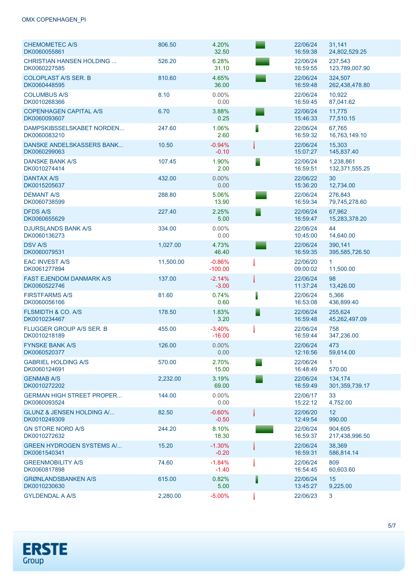### OMX COPENHAGEN\_PI

| <b>CHEMOMETEC A/S</b><br>DK0060055861            | 806.50    | 4.20%<br>32.50        |   | 22/06/24<br>16:59:38 | 31,141<br>24,802,529.25     |
|--------------------------------------------------|-----------|-----------------------|---|----------------------|-----------------------------|
| <b>CHRISTIAN HANSEN HOLDING</b><br>DK0060227585  | 526.20    | 6.28%<br>31.10        |   | 22/06/24<br>16:59:55 | 237,543<br>123,789,007.90   |
| <b>COLOPLAST A/S SER. B</b><br>DK0060448595      | 810.60    | 4.65%<br>36.00        |   | 22/06/24<br>16:59:48 | 324,507<br>262,438,478.80   |
| <b>COLUMBUS A/S</b><br>DK0010268366              | 8.10      | 0.00%<br>0.00         |   | 22/06/24<br>16:59:45 | 10,922<br>87,041.62         |
| <b>COPENHAGEN CAPITAL A/S</b><br>DK0060093607    | 6.70      | 3.88%<br>0.25         |   | 22/06/24<br>15:46:33 | 11,775<br>77,510.15         |
| DAMPSKIBSSELSKABET NORDEN<br>DK0060083210        | 247.60    | 1.06%<br>2.60         | Ī | 22/06/24<br>16:59:32 | 67,765<br>16,763,149.10     |
| DANSKE ANDELSKASSERS BANK<br>DK0060299063        | 10.50     | $-0.94%$<br>$-0.10$   |   | 22/06/24<br>15:07:27 | 15,303<br>145,837.40        |
| DANSKE BANK A/S<br>DK0010274414                  | 107.45    | 1.90%<br>2.00         |   | 22/06/24<br>16:59:51 | 1,238,861<br>132,371,555.25 |
| <b>DANTAX A/S</b><br>DK0015205637                | 432.00    | 0.00%<br>0.00         |   | 22/06/22<br>15:36:20 | 30<br>12,734.00             |
| <b>DEMANT A/S</b><br>DK0060738599                | 288.80    | 5.06%<br>13.90        |   | 22/06/24<br>16:59:34 | 276,843<br>79,745,278.60    |
| <b>DFDS A/S</b><br>DK0060655629                  | 227.40    | 2.25%<br>5.00         | ▘ | 22/06/24<br>16:59:47 | 67,962<br>15,283,378.20     |
| <b>DJURSLANDS BANK A/S</b><br>DK0060136273       | 334.00    | 0.00%<br>0.00         |   | 22/06/24<br>10:45:00 | 44<br>14,640.00             |
| <b>DSV A/S</b><br>DK0060079531                   | 1,027.00  | 4.73%<br>46.40        |   | 22/06/24<br>16:59:35 | 390,141<br>395,585,726.50   |
| <b>EAC INVEST A/S</b><br>DK0061277894            | 11,500.00 | $-0.86%$<br>$-100.00$ |   | 22/06/20<br>09:00:02 | $\mathbf{1}$<br>11,500.00   |
| <b>FAST EJENDOM DANMARK A/S</b><br>DK0060522746  | 137.00    | $-2.14%$<br>$-3.00$   |   | 22/06/24<br>11:37:24 | 98<br>13,426.00             |
| <b>FIRSTFARMS A/S</b><br>DK0060056166            | 81.60     | 0.74%<br>0.60         | I | 22/06/24<br>16:53:08 | 5,366<br>436,899.40         |
| <b>FLSMIDTH &amp; CO. A/S</b><br>DK0010234467    | 178.50    | 1.83%<br>3.20         | E | 22/06/24<br>16:59:48 | 255,624<br>45,262,497.09    |
| <b>FLUGGER GROUP A/S SER. B</b><br>DK0010218189  | 455.00    | $-3.40%$<br>$-16.00$  |   | 22/06/24<br>16:59:44 | 758<br>347,236.00           |
| <b>FYNSKE BANK A/S</b><br>DK0060520377           | 126.00    | 0.00%<br>0.00         |   | 22/06/24<br>12:16:56 | 473<br>59,614.00            |
| <b>GABRIEL HOLDING A/S</b><br>DK0060124691       | 570.00    | 2.70%<br>15.00        |   | 22/06/24<br>16:48:49 | 1.<br>570.00                |
| <b>GENMAB A/S</b><br>DK0010272202                | 2,232.00  | 3.19%<br>69.00        |   | 22/06/24<br>16:59:49 | 134,174<br>301,359,739.17   |
| <b>GERMAN HIGH STREET PROPER</b><br>DK0060093524 | 144.00    | $0.00\%$<br>0.00      |   | 22/06/17<br>15:22:12 | 33<br>4,752.00              |
| GLUNZ & JENSEN HOLDING A/<br>DK0010249309        | 82.50     | $-0.60%$<br>$-0.50$   |   | 22/06/20<br>12:49:54 | $12 \overline{ }$<br>990.00 |
| <b>GN STORE NORD A/S</b><br>DK0010272632         | 244.20    | 8.10%<br>18.30        |   | 22/06/24<br>16:59:37 | 904,605<br>217,438,996.50   |
| <b>GREEN HYDROGEN SYSTEMS A</b><br>DK0061540341  | 15.20     | $-1.30%$<br>$-0.20$   |   | 22/06/24<br>16:59:31 | 38,369<br>586,814.14        |
| <b>GREENMOBILITY A/S</b><br>DK0060817898         | 74.60     | $-1.84%$<br>$-1.40$   |   | 22/06/24<br>16:54:45 | 809<br>60,603.60            |
| <b>GRØNLANDSBANKEN A/S</b><br>DK0010230630       | 615.00    | 0.82%<br>5.00         |   | 22/06/24<br>13:45:27 | 15<br>9,225.00              |
| <b>GYLDENDAL A A/S</b>                           | 2,280.00  | $-5.00%$              |   | 22/06/23             | 3                           |

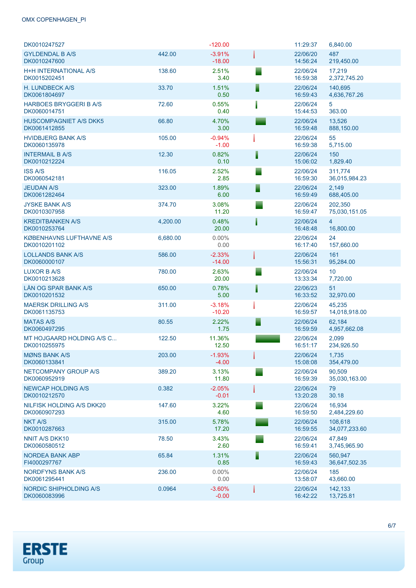### OMX COPENHAGEN\_PI

| DK0010247527                                  |          | $-120.00$            |   | 11:29:37             | 6,840.00                    |
|-----------------------------------------------|----------|----------------------|---|----------------------|-----------------------------|
| <b>GYLDENDAL B A/S</b><br>DK0010247600        | 442.00   | $-3.91%$<br>$-18.00$ |   | 22/06/20<br>14:56:24 | 487<br>219,450.00           |
| <b>H+H INTERNATIONAL A/S</b><br>DK0015202451  | 138.60   | 2.51%<br>3.40        |   | 22/06/24<br>16:59:38 | 17,219<br>2,372,745.20      |
| <b>H. LUNDBECK A/S</b><br>DK0061804697        | 33.70    | 1.51%<br>0.50        | F | 22/06/24<br>16:59:43 | 140.695<br>4,636,767.26     |
| <b>HARBOES BRYGGERI B A/S</b><br>DK0060014751 | 72.60    | 0.55%<br>0.40        |   | 22/06/24<br>15:44:53 | 5<br>363.00                 |
| <b>HUSCOMPAGNIET A/S DKK5</b><br>DK0061412855 | 66.80    | 4.70%<br>3.00        |   | 22/06/24<br>16:59:48 | 13,526<br>888,150.00        |
| <b>HVIDBJERG BANK A/S</b><br>DK0060135978     | 105.00   | $-0.94%$<br>$-1.00$  |   | 22/06/24<br>16:59:38 | 55<br>5,715.00              |
| <b>INTERMAIL B A/S</b><br>DK0010212224        | 12.30    | 0.82%<br>0.10        | ▌ | 22/06/24<br>15:06:02 | 150<br>1,829.40             |
| <b>ISS A/S</b><br>DK0060542181                | 116.05   | 2.52%<br>2.85        |   | 22/06/24<br>16:59:30 | 311,774<br>36,015,984.23    |
| <b>JEUDAN A/S</b><br>DK0061282464             | 323.00   | 1.89%<br>6.00        |   | 22/06/24<br>16:59:49 | 2,149<br>688,405.00         |
| <b>JYSKE BANK A/S</b><br>DK0010307958         | 374.70   | 3.08%<br>11.20       |   | 22/06/24<br>16:59:47 | 202,350<br>75,030,151.05    |
| <b>KREDITBANKEN A/S</b><br>DK0010253764       | 4,200.00 | 0.48%<br>20.00       |   | 22/06/24<br>16:48:48 | $\overline{4}$<br>16,800.00 |
| KØBENHAVNS LUFTHAVNE A/S<br>DK0010201102      | 6,680.00 | $0.00\%$<br>0.00     |   | 22/06/24<br>16:17:40 | 24<br>157,660.00            |
| <b>LOLLANDS BANK A/S</b><br>DK0060000107      | 586.00   | $-2.33%$<br>$-14.00$ |   | 22/06/24<br>15:56:31 | 161<br>95,284.00            |
| LUXOR B A/S<br>DK0010213628                   | 780.00   | 2.63%<br>20.00       |   | 22/06/24<br>13:33:34 | 10 <sup>°</sup><br>7,720.00 |
| LÅN OG SPAR BANK A/S<br>DK0010201532          | 650.00   | 0.78%<br>5.00        |   | 22/06/23<br>16:33:52 | 51<br>32,970.00             |
| <b>MAERSK DRILLING A/S</b><br>DK0061135753    | 311.00   | $-3.18%$<br>$-10.20$ |   | 22/06/24<br>16:59:57 | 45,235<br>14,018,918.00     |
| <b>MATAS A/S</b><br>DK0060497295              | 80.55    | 2.22%<br>1.75        |   | 22/06/24<br>16:59:59 | 62,184<br>4,957,662.08      |
| MT HOJGAARD HOLDING A/S C<br>DK0010255975     | 122.50   | 11.36%<br>12.50      |   | 22/06/24<br>16:51:17 | 2,099<br>234,926.50         |
| <b>MØNS BANK A/S</b><br>DK0060133841          | 203.00   | $-1.93%$<br>$-4.00$  |   | 22/06/24<br>15:08:08 | 1,735<br>354,479.00         |
| NETCOMPANY GROUP A/S<br>DK0060952919          | 389.20   | 3.13%<br>11.80       |   | 22/06/24<br>16:59:39 | 90,509<br>35.030.163.00     |
| NEWCAP HOLDING A/S<br>DK0010212570            | 0.382    | $-2.05%$<br>$-0.01$  |   | 22/06/24<br>13:20:28 | 79<br>30.18                 |
| NILFISK HOLDING A/S DKK20<br>DK0060907293     | 147.60   | 3.22%<br>4.60        |   | 22/06/24<br>16:59:50 | 16,934<br>2,484,229.60      |
| <b>NKT A/S</b><br>DK0010287663                | 315.00   | 5.78%<br>17.20       |   | 22/06/24<br>16:59:55 | 108,618<br>34,077,233.60    |
| <b>NNIT A/S DKK10</b><br>DK0060580512         | 78.50    | 3.43%<br>2.60        |   | 22/06/24<br>16:59:41 | 47,849<br>3,745,965.90      |
| <b>NORDEA BANK ABP</b><br>FI4000297767        | 65.84    | 1.31%<br>0.85        | E | 22/06/24<br>16:59:43 | 560,947<br>36,647,502.35    |
| NORDFYNS BANK A/S<br>DK0061295441             | 236.00   | $0.00\%$<br>0.00     |   | 22/06/24<br>13:58:07 | 185<br>43,660.00            |
| NORDIC SHIPHOLDING A/S<br>DK0060083996        | 0.0964   | $-3.60%$<br>$-0.00$  |   | 22/06/24<br>16:42:22 | 142,133<br>13,725.81        |